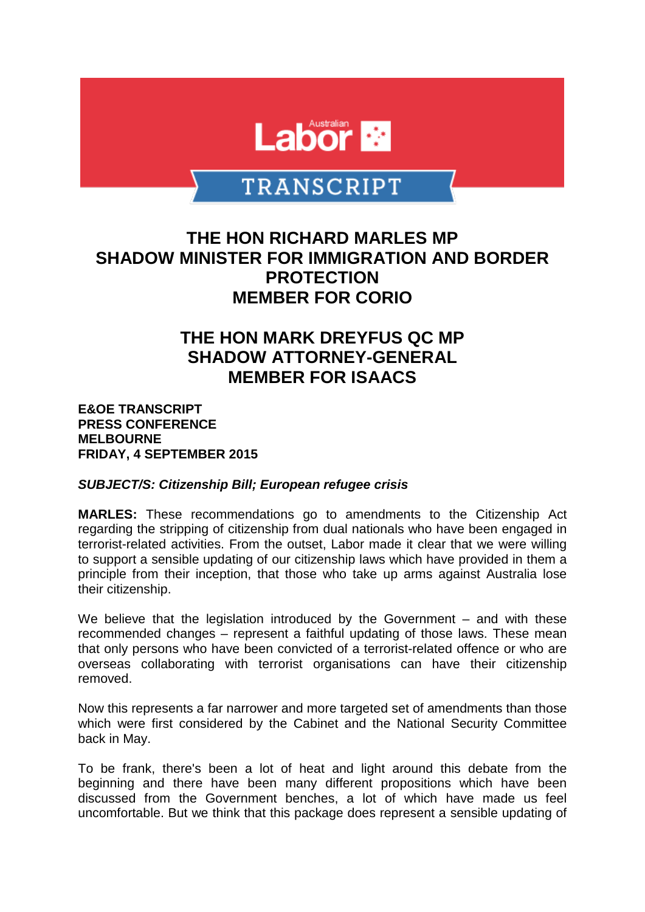

# **TRANSCRIPT**

### **THE HON RICHARD MARLES MP SHADOW MINISTER FOR IMMIGRATION AND BORDER PROTECTION MEMBER FOR CORIO**

## **THE HON MARK DREYFUS QC MP SHADOW ATTORNEY-GENERAL MEMBER FOR ISAACS**

**E&OE TRANSCRIPT PRESS CONFERENCE MELBOURNE FRIDAY, 4 SEPTEMBER 2015**

#### *SUBJECT/S: Citizenship Bill; European refugee crisis*

**MARLES:** These recommendations go to amendments to the Citizenship Act regarding the stripping of citizenship from dual nationals who have been engaged in terrorist-related activities. From the outset, Labor made it clear that we were willing to support a sensible updating of our citizenship laws which have provided in them a principle from their inception, that those who take up arms against Australia lose their citizenship.

We believe that the legislation introduced by the Government – and with these recommended changes – represent a faithful updating of those laws. These mean that only persons who have been convicted of a terrorist-related offence or who are overseas collaborating with terrorist organisations can have their citizenship removed.

Now this represents a far narrower and more targeted set of amendments than those which were first considered by the Cabinet and the National Security Committee back in May.

To be frank, there's been a lot of heat and light around this debate from the beginning and there have been many different propositions which have been discussed from the Government benches, a lot of which have made us feel uncomfortable. But we think that this package does represent a sensible updating of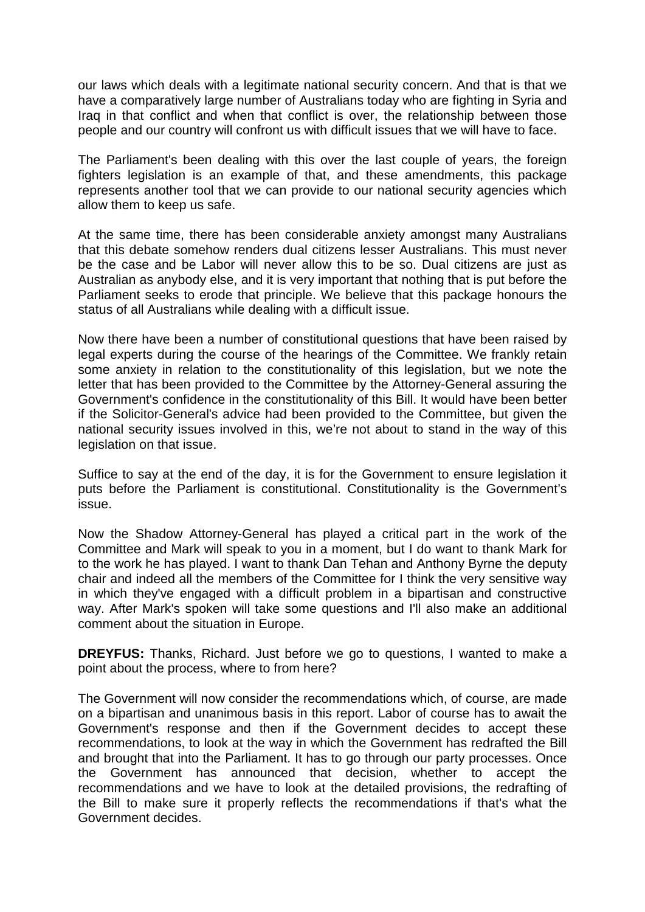our laws which deals with a legitimate national security concern. And that is that we have a comparatively large number of Australians today who are fighting in Syria and Iraq in that conflict and when that conflict is over, the relationship between those people and our country will confront us with difficult issues that we will have to face.

The Parliament's been dealing with this over the last couple of years, the foreign fighters legislation is an example of that, and these amendments, this package represents another tool that we can provide to our national security agencies which allow them to keep us safe.

At the same time, there has been considerable anxiety amongst many Australians that this debate somehow renders dual citizens lesser Australians. This must never be the case and be Labor will never allow this to be so. Dual citizens are just as Australian as anybody else, and it is very important that nothing that is put before the Parliament seeks to erode that principle. We believe that this package honours the status of all Australians while dealing with a difficult issue.

Now there have been a number of constitutional questions that have been raised by legal experts during the course of the hearings of the Committee. We frankly retain some anxiety in relation to the constitutionality of this legislation, but we note the letter that has been provided to the Committee by the Attorney-General assuring the Government's confidence in the constitutionality of this Bill. It would have been better if the Solicitor-General's advice had been provided to the Committee, but given the national security issues involved in this, we're not about to stand in the way of this legislation on that issue.

Suffice to say at the end of the day, it is for the Government to ensure legislation it puts before the Parliament is constitutional. Constitutionality is the Government's issue.

Now the Shadow Attorney-General has played a critical part in the work of the Committee and Mark will speak to you in a moment, but I do want to thank Mark for to the work he has played. I want to thank Dan Tehan and Anthony Byrne the deputy chair and indeed all the members of the Committee for I think the very sensitive way in which they've engaged with a difficult problem in a bipartisan and constructive way. After Mark's spoken will take some questions and I'll also make an additional comment about the situation in Europe.

**DREYFUS:** Thanks, Richard. Just before we go to questions, I wanted to make a point about the process, where to from here?

The Government will now consider the recommendations which, of course, are made on a bipartisan and unanimous basis in this report. Labor of course has to await the Government's response and then if the Government decides to accept these recommendations, to look at the way in which the Government has redrafted the Bill and brought that into the Parliament. It has to go through our party processes. Once the Government has announced that decision, whether to accept the recommendations and we have to look at the detailed provisions, the redrafting of the Bill to make sure it properly reflects the recommendations if that's what the Government decides.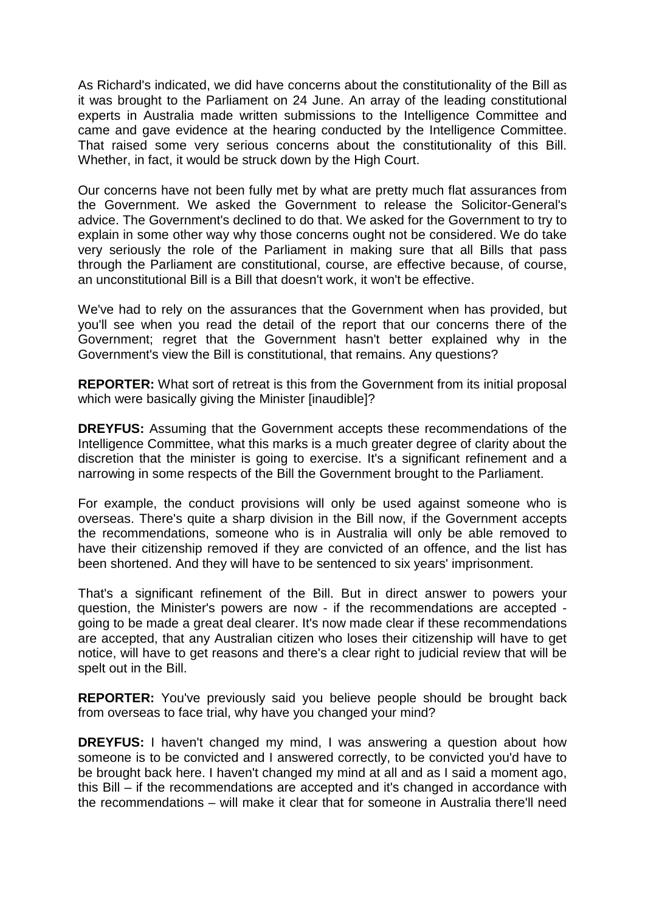As Richard's indicated, we did have concerns about the constitutionality of the Bill as it was brought to the Parliament on 24 June. An array of the leading constitutional experts in Australia made written submissions to the Intelligence Committee and came and gave evidence at the hearing conducted by the Intelligence Committee. That raised some very serious concerns about the constitutionality of this Bill. Whether, in fact, it would be struck down by the High Court.

Our concerns have not been fully met by what are pretty much flat assurances from the Government. We asked the Government to release the Solicitor-General's advice. The Government's declined to do that. We asked for the Government to try to explain in some other way why those concerns ought not be considered. We do take very seriously the role of the Parliament in making sure that all Bills that pass through the Parliament are constitutional, course, are effective because, of course, an unconstitutional Bill is a Bill that doesn't work, it won't be effective.

We've had to rely on the assurances that the Government when has provided, but you'll see when you read the detail of the report that our concerns there of the Government; regret that the Government hasn't better explained why in the Government's view the Bill is constitutional, that remains. Any questions?

**REPORTER:** What sort of retreat is this from the Government from its initial proposal which were basically giving the Minister [inaudible]?

**DREYFUS:** Assuming that the Government accepts these recommendations of the Intelligence Committee, what this marks is a much greater degree of clarity about the discretion that the minister is going to exercise. It's a significant refinement and a narrowing in some respects of the Bill the Government brought to the Parliament.

For example, the conduct provisions will only be used against someone who is overseas. There's quite a sharp division in the Bill now, if the Government accepts the recommendations, someone who is in Australia will only be able removed to have their citizenship removed if they are convicted of an offence, and the list has been shortened. And they will have to be sentenced to six years' imprisonment.

That's a significant refinement of the Bill. But in direct answer to powers your question, the Minister's powers are now - if the recommendations are accepted going to be made a great deal clearer. It's now made clear if these recommendations are accepted, that any Australian citizen who loses their citizenship will have to get notice, will have to get reasons and there's a clear right to judicial review that will be spelt out in the Bill.

**REPORTER:** You've previously said you believe people should be brought back from overseas to face trial, why have you changed your mind?

**DREYFUS:** I haven't changed my mind, I was answering a question about how someone is to be convicted and I answered correctly, to be convicted you'd have to be brought back here. I haven't changed my mind at all and as I said a moment ago, this Bill – if the recommendations are accepted and it's changed in accordance with the recommendations – will make it clear that for someone in Australia there'll need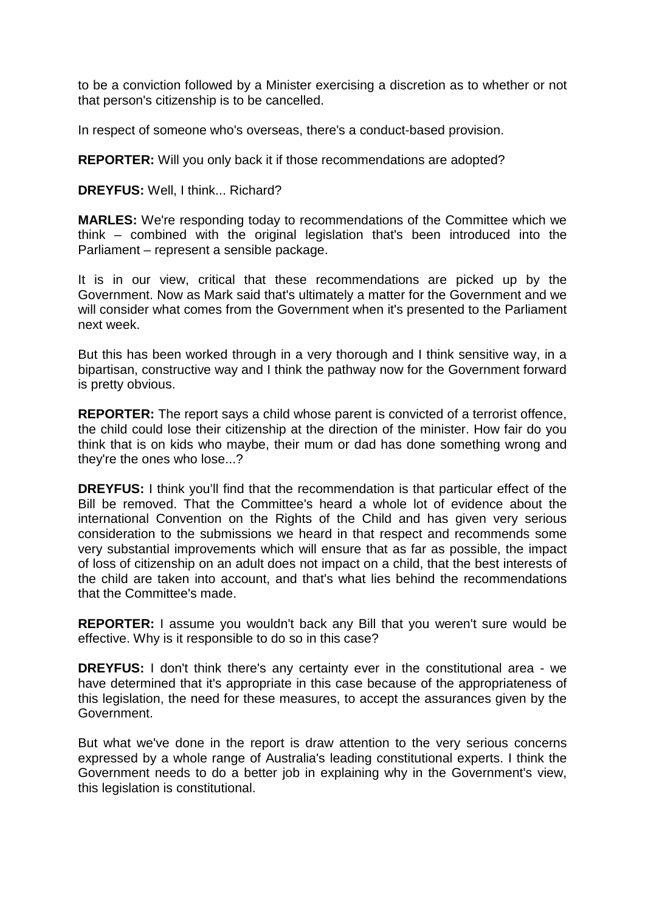to be a conviction followed by a Minister exercising a discretion as to whether or not that person's citizenship is to be cancelled.

In respect of someone who's overseas, there's a conduct-based provision.

**REPORTER:** Will you only back it if those recommendations are adopted?

**DREYFUS:** Well, I think... Richard?

**MARLES:** We're responding today to recommendations of the Committee which we think – combined with the original legislation that's been introduced into the Parliament – represent a sensible package.

It is in our view, critical that these recommendations are picked up by the Government. Now as Mark said that's ultimately a matter for the Government and we will consider what comes from the Government when it's presented to the Parliament next week.

But this has been worked through in a very thorough and I think sensitive way, in a bipartisan, constructive way and I think the pathway now for the Government forward is pretty obvious.

**REPORTER:** The report says a child whose parent is convicted of a terrorist offence, the child could lose their citizenship at the direction of the minister. How fair do you think that is on kids who maybe, their mum or dad has done something wrong and they're the ones who lose...?

**DREYFUS:** I think you'll find that the recommendation is that particular effect of the Bill be removed. That the Committee's heard a whole lot of evidence about the international Convention on the Rights of the Child and has given very serious consideration to the submissions we heard in that respect and recommends some very substantial improvements which will ensure that as far as possible, the impact of loss of citizenship on an adult does not impact on a child, that the best interests of the child are taken into account, and that's what lies behind the recommendations that the Committee's made.

**REPORTER:** I assume you wouldn't back any Bill that you weren't sure would be effective. Why is it responsible to do so in this case?

**DREYFUS:** I don't think there's any certainty ever in the constitutional area - we have determined that it's appropriate in this case because of the appropriateness of this legislation, the need for these measures, to accept the assurances given by the Government.

But what we've done in the report is draw attention to the very serious concerns expressed by a whole range of Australia's leading constitutional experts. I think the Government needs to do a better job in explaining why in the Government's view, this legislation is constitutional.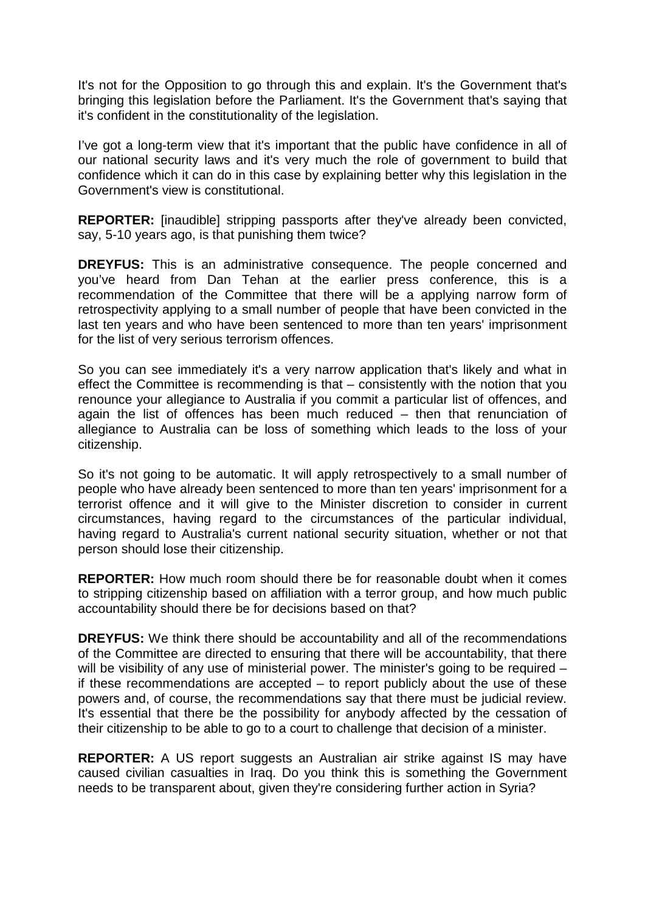It's not for the Opposition to go through this and explain. It's the Government that's bringing this legislation before the Parliament. It's the Government that's saying that it's confident in the constitutionality of the legislation.

I've got a long-term view that it's important that the public have confidence in all of our national security laws and it's very much the role of government to build that confidence which it can do in this case by explaining better why this legislation in the Government's view is constitutional.

**REPORTER:** [inaudible] stripping passports after they've already been convicted, say, 5-10 years ago, is that punishing them twice?

**DREYFUS:** This is an administrative consequence. The people concerned and you've heard from Dan Tehan at the earlier press conference, this is a recommendation of the Committee that there will be a applying narrow form of retrospectivity applying to a small number of people that have been convicted in the last ten years and who have been sentenced to more than ten years' imprisonment for the list of very serious terrorism offences.

So you can see immediately it's a very narrow application that's likely and what in effect the Committee is recommending is that – consistently with the notion that you renounce your allegiance to Australia if you commit a particular list of offences, and again the list of offences has been much reduced – then that renunciation of allegiance to Australia can be loss of something which leads to the loss of your citizenship.

So it's not going to be automatic. It will apply retrospectively to a small number of people who have already been sentenced to more than ten years' imprisonment for a terrorist offence and it will give to the Minister discretion to consider in current circumstances, having regard to the circumstances of the particular individual, having regard to Australia's current national security situation, whether or not that person should lose their citizenship.

**REPORTER:** How much room should there be for reasonable doubt when it comes to stripping citizenship based on affiliation with a terror group, and how much public accountability should there be for decisions based on that?

**DREYFUS:** We think there should be accountability and all of the recommendations of the Committee are directed to ensuring that there will be accountability, that there will be visibility of any use of ministerial power. The minister's going to be required – if these recommendations are accepted – to report publicly about the use of these powers and, of course, the recommendations say that there must be judicial review. It's essential that there be the possibility for anybody affected by the cessation of their citizenship to be able to go to a court to challenge that decision of a minister.

**REPORTER:** A US report suggests an Australian air strike against IS may have caused civilian casualties in Iraq. Do you think this is something the Government needs to be transparent about, given they're considering further action in Syria?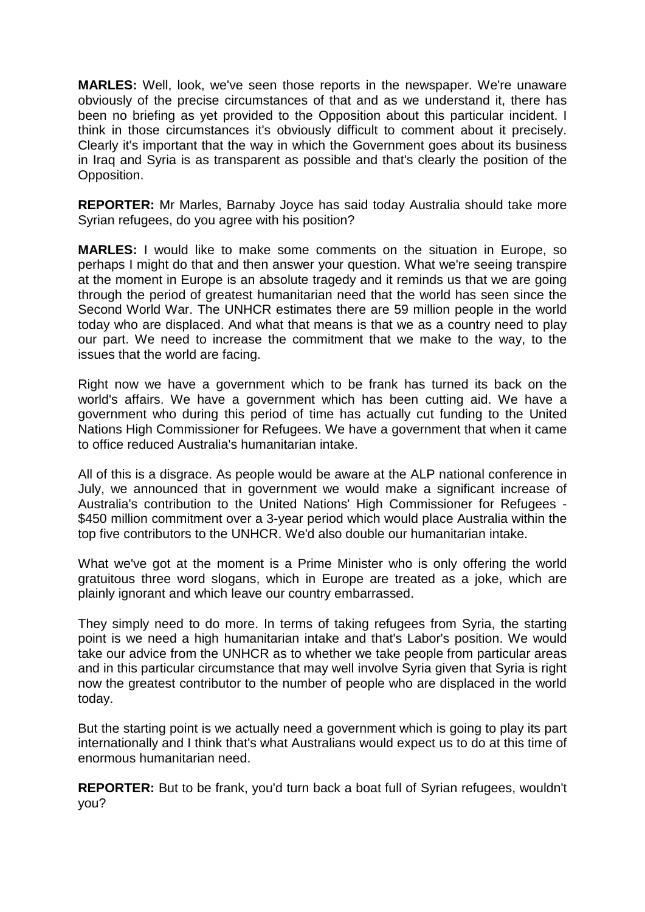**MARLES:** Well, look, we've seen those reports in the newspaper. We're unaware obviously of the precise circumstances of that and as we understand it, there has been no briefing as yet provided to the Opposition about this particular incident. I think in those circumstances it's obviously difficult to comment about it precisely. Clearly it's important that the way in which the Government goes about its business in Iraq and Syria is as transparent as possible and that's clearly the position of the Opposition.

**REPORTER:** Mr Marles, Barnaby Joyce has said today Australia should take more Syrian refugees, do you agree with his position?

**MARLES:** I would like to make some comments on the situation in Europe, so perhaps I might do that and then answer your question. What we're seeing transpire at the moment in Europe is an absolute tragedy and it reminds us that we are going through the period of greatest humanitarian need that the world has seen since the Second World War. The UNHCR estimates there are 59 million people in the world today who are displaced. And what that means is that we as a country need to play our part. We need to increase the commitment that we make to the way, to the issues that the world are facing.

Right now we have a government which to be frank has turned its back on the world's affairs. We have a government which has been cutting aid. We have a government who during this period of time has actually cut funding to the United Nations High Commissioner for Refugees. We have a government that when it came to office reduced Australia's humanitarian intake.

All of this is a disgrace. As people would be aware at the ALP national conference in July, we announced that in government we would make a significant increase of Australia's contribution to the United Nations' High Commissioner for Refugees - \$450 million commitment over a 3-year period which would place Australia within the top five contributors to the UNHCR. We'd also double our humanitarian intake.

What we've got at the moment is a Prime Minister who is only offering the world gratuitous three word slogans, which in Europe are treated as a joke, which are plainly ignorant and which leave our country embarrassed.

They simply need to do more. In terms of taking refugees from Syria, the starting point is we need a high humanitarian intake and that's Labor's position. We would take our advice from the UNHCR as to whether we take people from particular areas and in this particular circumstance that may well involve Syria given that Syria is right now the greatest contributor to the number of people who are displaced in the world today.

But the starting point is we actually need a government which is going to play its part internationally and I think that's what Australians would expect us to do at this time of enormous humanitarian need.

**REPORTER:** But to be frank, you'd turn back a boat full of Syrian refugees, wouldn't you?